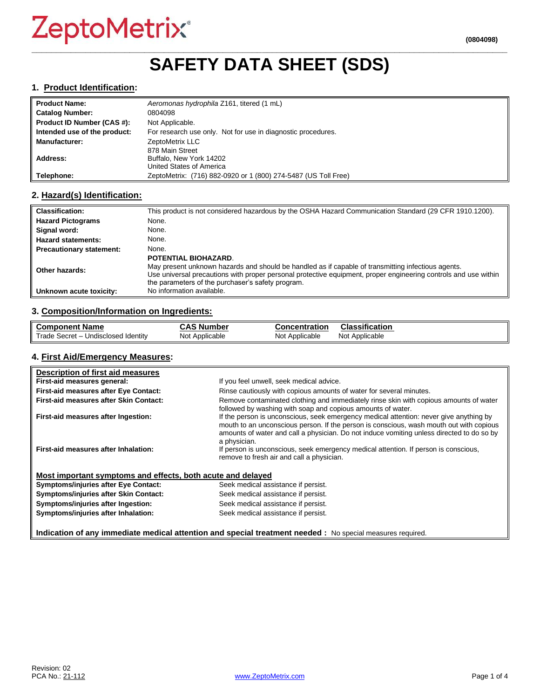# **\_\_\_\_\_\_\_\_\_\_\_\_\_\_\_\_\_\_\_\_\_\_\_\_\_\_\_\_\_\_\_\_\_\_\_\_\_\_\_\_\_\_\_\_\_\_\_\_\_\_\_\_\_\_\_\_\_\_\_\_\_\_\_\_\_\_\_\_\_\_\_\_\_\_\_\_\_\_\_\_\_\_\_\_\_\_\_\_\_\_\_\_\_\_\_\_\_ SAFETY DATA SHEET (SDS)**

#### **1. Product Identification:**

| ll Product Name:             | Aeromonas hydrophila Z161, titered (1 mL)                      |
|------------------------------|----------------------------------------------------------------|
| Catalog Number:              | 0804098                                                        |
| Product ID Number (CAS #):   | Not Applicable.                                                |
| Intended use of the product: | For research use only. Not for use in diagnostic procedures.   |
| <b>Manufacturer:</b>         | ZeptoMetrix LLC                                                |
|                              | 878 Main Street                                                |
| Address:                     | Buffalo, New York 14202                                        |
|                              | United States of America                                       |
| Telephone:                   | ZeptoMetrix: (716) 882-0920 or 1 (800) 274-5487 (US Toll Free) |

### **2. Hazard(s) Identification:**

| <b>Classification:</b>          | This product is not considered hazardous by the OSHA Hazard Communication Standard (29 CFR 1910.1200).                                                                                                                                                                     |
|---------------------------------|----------------------------------------------------------------------------------------------------------------------------------------------------------------------------------------------------------------------------------------------------------------------------|
| <b>Hazard Pictograms</b>        | None.                                                                                                                                                                                                                                                                      |
| Signal word:                    | None.                                                                                                                                                                                                                                                                      |
| <b>Hazard statements:</b>       | None.                                                                                                                                                                                                                                                                      |
| <b>Precautionary statement:</b> | None.                                                                                                                                                                                                                                                                      |
|                                 | <b>POTENTIAL BIOHAZARD.</b>                                                                                                                                                                                                                                                |
| Other hazards:                  | May present unknown hazards and should be handled as if capable of transmitting infectious agents.<br>Use universal precautions with proper personal protective equipment, proper engineering controls and use within<br>the parameters of the purchaser's safety program. |
| Unknown acute toxicity:         | No information available.                                                                                                                                                                                                                                                  |

# **3. Composition/Information on Ingredients:**

| <b>Component Name</b>                               | $\ddot{\bullet}$<br>، Number<br>טמע | <b>Concentration</b> | Classification    |
|-----------------------------------------------------|-------------------------------------|----------------------|-------------------|
| Trade,<br>Undisclosed Identity<br>– Secret <i>-</i> | Not Applicable                      | Not Applicable       | Applicable<br>Not |

#### **4. First Aid/Emergency Measures:**

| Description of first aid measures                                                                          |                                                                                                                                                                                                                                                                                                |  |
|------------------------------------------------------------------------------------------------------------|------------------------------------------------------------------------------------------------------------------------------------------------------------------------------------------------------------------------------------------------------------------------------------------------|--|
| First-aid measures general:                                                                                | If you feel unwell, seek medical advice.                                                                                                                                                                                                                                                       |  |
| First-aid measures after Eye Contact:                                                                      | Rinse cautiously with copious amounts of water for several minutes.                                                                                                                                                                                                                            |  |
| First-aid measures after Skin Contact:                                                                     | Remove contaminated clothing and immediately rinse skin with copious amounts of water<br>followed by washing with soap and copious amounts of water.                                                                                                                                           |  |
| First-aid measures after Ingestion:                                                                        | If the person is unconscious, seek emergency medical attention: never give anything by<br>mouth to an unconscious person. If the person is conscious, wash mouth out with copious<br>amounts of water and call a physician. Do not induce vomiting unless directed to do so by<br>a physician. |  |
| First-aid measures after Inhalation:                                                                       | If person is unconscious, seek emergency medical attention. If person is conscious,<br>remove to fresh air and call a physician.                                                                                                                                                               |  |
| Most important symptoms and effects, both acute and delayed                                                |                                                                                                                                                                                                                                                                                                |  |
| <b>Symptoms/injuries after Eye Contact:</b>                                                                | Seek medical assistance if persist.                                                                                                                                                                                                                                                            |  |
| Symptoms/injuries after Skin Contact:                                                                      | Seek medical assistance if persist.                                                                                                                                                                                                                                                            |  |
| Symptoms/injuries after Ingestion:                                                                         | Seek medical assistance if persist.                                                                                                                                                                                                                                                            |  |
| Symptoms/injuries after Inhalation:                                                                        | Seek medical assistance if persist.                                                                                                                                                                                                                                                            |  |
| Indication of any immediate medical attention and special treatment needed : No special measures required. |                                                                                                                                                                                                                                                                                                |  |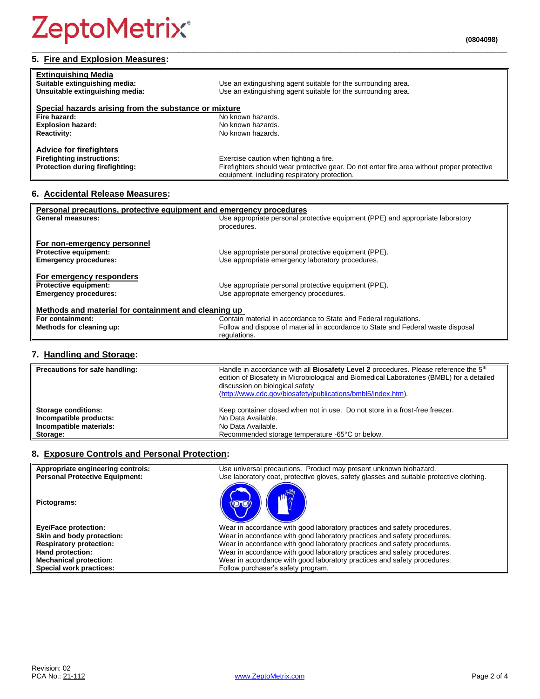# **5. Fire and Explosion Measures:**

| <b>Extinguishing Media</b><br>Suitable extinguishing media:<br>Unsuitable extinguishing media: | Use an extinguishing agent suitable for the surrounding area.<br>Use an extinguishing agent suitable for the surrounding area.             |
|------------------------------------------------------------------------------------------------|--------------------------------------------------------------------------------------------------------------------------------------------|
| Special hazards arising from the substance or mixture                                          |                                                                                                                                            |
| Fire hazard:                                                                                   | No known hazards.                                                                                                                          |
| <b>Explosion hazard:</b>                                                                       | No known hazards.                                                                                                                          |
| <b>Reactivity:</b>                                                                             | No known hazards.                                                                                                                          |
| <b>Advice for firefighters</b>                                                                 |                                                                                                                                            |
| <b>Firefighting instructions:</b>                                                              | Exercise caution when fighting a fire.                                                                                                     |
| Protection during firefighting:                                                                | Firefighters should wear protective gear. Do not enter fire area without proper protective<br>equipment, including respiratory protection. |

**\_\_\_\_\_\_\_\_\_\_\_\_\_\_\_\_\_\_\_\_\_\_\_\_\_\_\_\_\_\_\_\_\_\_\_\_\_\_\_\_\_\_\_\_\_\_\_\_\_\_\_\_\_\_\_\_\_\_\_\_\_\_\_\_\_\_\_\_\_\_\_\_\_\_\_\_\_\_\_\_\_\_\_\_\_\_\_\_\_\_\_\_\_\_\_\_\_**

# **6. Accidental Release Measures:**

| Personal precautions, protective equipment and emergency procedures |                                                                                  |  |
|---------------------------------------------------------------------|----------------------------------------------------------------------------------|--|
| <b>General measures:</b>                                            | Use appropriate personal protective equipment (PPE) and appropriate laboratory   |  |
|                                                                     | procedures.                                                                      |  |
|                                                                     |                                                                                  |  |
| For non-emergency personnel                                         |                                                                                  |  |
| <b>Protective equipment:</b>                                        | Use appropriate personal protective equipment (PPE).                             |  |
| <b>Emergency procedures:</b>                                        | Use appropriate emergency laboratory procedures.                                 |  |
|                                                                     |                                                                                  |  |
| For emergency responders                                            |                                                                                  |  |
| <b>Protective equipment:</b>                                        | Use appropriate personal protective equipment (PPE).                             |  |
|                                                                     |                                                                                  |  |
| <b>Emergency procedures:</b>                                        | Use appropriate emergency procedures.                                            |  |
|                                                                     |                                                                                  |  |
| Methods and material for containment and cleaning up                |                                                                                  |  |
| For containment:                                                    | Contain material in accordance to State and Federal regulations.                 |  |
| Methods for cleaning up:                                            | Follow and dispose of material in accordance to State and Federal waste disposal |  |
|                                                                     | regulations.                                                                     |  |

# **7. Handling and Storage:**

| Precautions for safe handling: | Handle in accordance with all <b>Biosafety Level 2</b> procedures. Please reference the 5 <sup>th</sup><br>edition of Biosafety in Microbiological and Biomedical Laboratories (BMBL) for a detailed<br>discussion on biological safety<br>(http://www.cdc.gov/biosafety/publications/bmbl5/index.htm). |
|--------------------------------|---------------------------------------------------------------------------------------------------------------------------------------------------------------------------------------------------------------------------------------------------------------------------------------------------------|
| <b>Storage conditions:</b>     | Keep container closed when not in use. Do not store in a frost-free freezer.                                                                                                                                                                                                                            |
| Incompatible products:         | No Data Available.                                                                                                                                                                                                                                                                                      |
| Incompatible materials:        | No Data Available.                                                                                                                                                                                                                                                                                      |
| Storage:                       | Recommended storage temperature -65°C or below.                                                                                                                                                                                                                                                         |

# **8. Exposure Controls and Personal Protection:**

| Appropriate engineering controls:     | Use universal precautions. Product may present unknown biohazard.                        |
|---------------------------------------|------------------------------------------------------------------------------------------|
| <b>Personal Protective Equipment:</b> | Use laboratory coat, protective gloves, safety glasses and suitable protective clothing. |
| Pictograms:                           |                                                                                          |
| <b>Eye/Face protection:</b>           | Wear in accordance with good laboratory practices and safety procedures.                 |
| Skin and body protection:             | Wear in accordance with good laboratory practices and safety procedures.                 |
| <b>Respiratory protection:</b>        | Wear in accordance with good laboratory practices and safety procedures.                 |
| Hand protection:                      | Wear in accordance with good laboratory practices and safety procedures.                 |
| <b>Mechanical protection:</b>         | Wear in accordance with good laboratory practices and safety procedures.                 |
| Special work practices:               | Follow purchaser's safety program.                                                       |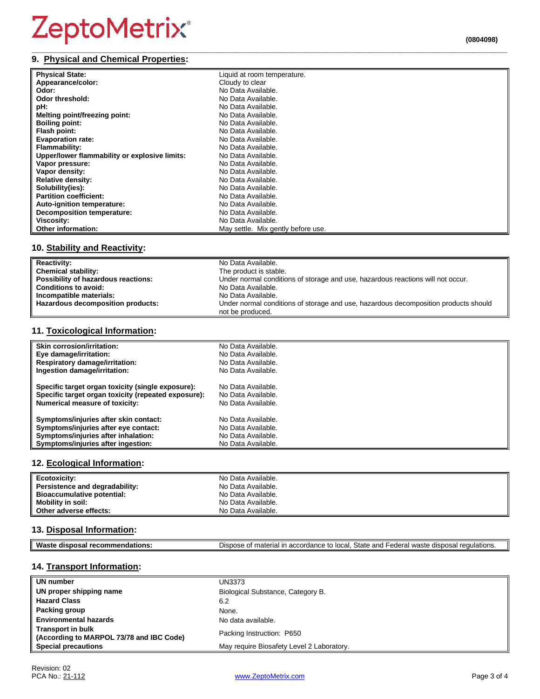#### **\_\_\_\_\_\_\_\_\_\_\_\_\_\_\_\_\_\_\_\_\_\_\_\_\_\_\_\_\_\_\_\_\_\_\_\_\_\_\_\_\_\_\_\_\_\_\_\_\_\_\_\_\_\_\_\_\_\_\_\_\_\_\_\_\_\_\_\_\_\_\_\_\_\_\_\_\_\_\_\_\_\_\_\_\_\_\_\_\_\_\_\_\_\_\_\_\_ 9. Physical and Chemical Properties:**

| (0804098) |
|-----------|
|           |

| <b>Physical State:</b>                        | Liquid at room temperature.        |
|-----------------------------------------------|------------------------------------|
| Appearance/color:                             | Cloudy to clear                    |
| Odor:                                         | No Data Available.                 |
| Odor threshold:                               | No Data Available.                 |
| pH:                                           | No Data Available.                 |
| Melting point/freezing point:                 | No Data Available.                 |
| <b>Boiling point:</b>                         | No Data Available.                 |
| Flash point:                                  | No Data Available.                 |
| <b>Evaporation rate:</b>                      | No Data Available.                 |
| Flammability:                                 | No Data Available.                 |
| Upper/lower flammability or explosive limits: | No Data Available.                 |
| Vapor pressure:                               | No Data Available.                 |
| Vapor density:                                | No Data Available.                 |
| <b>Relative density:</b>                      | No Data Available.                 |
| Solubility(ies):                              | No Data Available.                 |
| <b>Partition coefficient:</b>                 | No Data Available.                 |
| Auto-ignition temperature:                    | No Data Available.                 |
| <b>Decomposition temperature:</b>             | No Data Available.                 |
| Viscosity:                                    | No Data Available.                 |
| Other information:                            | May settle. Mix gently before use. |

### **10. Stability and Reactivity:**

| <b>Reactivity:</b>                  | No Data Available.                                                                  |
|-------------------------------------|-------------------------------------------------------------------------------------|
| <b>Chemical stability:</b>          | The product is stable.                                                              |
| Possibility of hazardous reactions: | Under normal conditions of storage and use, hazardous reactions will not occur.     |
| <b>Conditions to avoid:</b>         | No Data Available.                                                                  |
| Incompatible materials:             | No Data Available.                                                                  |
| Hazardous decomposition products:   | Under normal conditions of storage and use, hazardous decomposition products should |
|                                     | not be produced.                                                                    |

### **11. Toxicological Information:**

| <b>Skin corrosion/irritation:</b>                   | No Data Available. |
|-----------------------------------------------------|--------------------|
| Eye damage/irritation:                              | No Data Available. |
| <b>Respiratory damage/irritation:</b>               | No Data Available. |
| Ingestion damage/irritation:                        | No Data Available. |
| Specific target organ toxicity (single exposure):   | No Data Available. |
| Specific target organ toxicity (repeated exposure): | No Data Available. |
| <b>Numerical measure of toxicity:</b>               | No Data Available. |
| Symptoms/injuries after skin contact:               | No Data Available. |
| Symptoms/injuries after eye contact:                | No Data Available. |
| Symptoms/injuries after inhalation:                 | No Data Available. |
| Symptoms/injuries after ingestion:                  | No Data Available. |

### **12. Ecological Information:**

| Ecotoxicity:                   | No Data Available. |
|--------------------------------|--------------------|
| Persistence and degradability: | No Data Available. |
| Bioaccumulative potential:     | No Data Available. |
| <b>Mobility in soil:</b>       | No Data Available. |
| Other adverse effects:         | No Data Available. |

# **13. Disposal Information:**

| ML<br>$-1$<br>dispo:<br>.me<br>aations<br>ман | -<br>State<br>Dispose<br>יהמה'<br>nnd<br>waste<br>-adara<br>. accordance<br>.<br>regulations.<br>ır<br>יי<br>າosal<br>naterial<br>الصال.<br>uispos<br>.UL.<br>cuci.<br>anu |
|-----------------------------------------------|----------------------------------------------------------------------------------------------------------------------------------------------------------------------------|
|                                               |                                                                                                                                                                            |

# **14. Transport Information:**

| UN number                                                            | UN3373                                    |
|----------------------------------------------------------------------|-------------------------------------------|
| UN proper shipping name                                              | Biological Substance, Category B.         |
| <b>Hazard Class</b>                                                  | 6.2                                       |
| Packing group                                                        | None.                                     |
| <b>Environmental hazards</b>                                         | No data available.                        |
| <b>Transport in bulk</b><br>(According to MARPOL 73/78 and IBC Code) | Packing Instruction: P650                 |
| <b>Special precautions</b>                                           | May require Biosafety Level 2 Laboratory. |